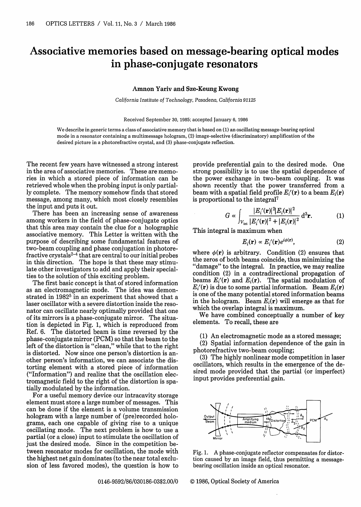## Associative memories based on message-bearing optical modes in phase-conjugate resonators

## **Amnon Yariv and Sze-Keung Kwong**

*California Institute* of *Technology, Pasadena,* California *91125*

Received September 30, 1985; accepted January 6, 1986

We describe in generic terms a class of associative memory that is based on (1) an oscillating message-bearing optical mode in a resonator containing a multimessage hologram, (2) image-selective (discriminatory) amplification of the desired picture in a photorefractive crystal, and (3) phase-conjugate reflection.

The recent few years have witnessed a strong interest in the area of associative memories. These are memories in which a stored piece of information can be retrieved whole when the probing input is only partially complete. The memory somehow finds that stored message, among many, which most closely resembles the input and puts it out.

There has been an increasing sense of awareness among workers in the field of phase-conjugate optics that this area may contain the clue for a holographic associative memory. This Letter is written with the purpose of describing some fundamental features of two-beam coupling and phase conjugation in photorefractive crystals<sup>2-4</sup> that are central to our initial probes in this direction. The hope is that these may stimulate other investigators to add and apply their specialties to the solution of this exciting problem.

The first basic concept is that of stored information as an electromagnetic mode. The idea was demonstrated in 1982<sup>5</sup> in an experiment that showed that a laser oscillator with a severe distortion inside the resonator can oscillate nearly optimally provided that one of its mirrors is a phase-conjugate mirror. The situation is depicted in Fig. 1, which is reproduced from Ref. 6. The distorted beam is time reversed by the phase-conjugate mirror (PCM) so that the beam to the left of the distortion is "clean," while that to the right is distorted. Now since one person's distortion is another person's information, we can associate the distorting element with a stored piece of information ("Information") and realize that the oscillation electromagnetic field to the right of the distortion is spatially modulated by the information.

For a useful memory device our intracavity storage element must store a large number of messages. This can be done if the element is a volume transmission hologram with a large number of (pre)recorded holograms, each one capable of giving rise to a unique oscillating mode. The next problem is how to use a partial (or a close) input to stimulate the oscillation of just the desired mode. Since in the competition between resonator modes for oscillation, the mode with the highest net gain dominates (to the near total exclusion of less favored modes), the question is how to

provide preferential gain to the desired mode. One strong possibility is to use the spatial dependence of the power exchange in two-beam coupling. It was shown recently that the power transferred from a beam with a spatial field profile  $E_i'(\mathbf{r})$  to a beam  $E_i(\mathbf{r})$ is proportional to the integral<sup>7</sup>

$$
G \propto \int_{V_{\text{int}}} \frac{|E'_i(\mathbf{r})|^2 |E_i(\mathbf{r})|^2}{|E'_i(\mathbf{r})|^2 + |E_i(\mathbf{r})|^2} d^3 \mathbf{r}.
$$
 (1)

This integral is maximum when

$$
E_i(\mathbf{r}) \propto E'_i(\mathbf{r})e^{i\phi(\mathbf{r})},\tag{2}
$$

where  $\phi(\mathbf{r})$  is arbitrary. Condition (2) ensures that the zeros of both beams coincide, thus minimizing the "damage" to the integral. In practice, we may realize condition (2) in a contradirectional propagation of beams  $E_i'(\mathbf{r})$  and  $E_i(\mathbf{r})$ . The spatial modulation of  $E_i'(\mathbf{r})$  is due to some partial information. Beam  $E_i(\mathbf{r})$ is one of the many potential stored information beams in the hologram. Beam  $E_i(\mathbf{r})$  will emerge as that for which the overlap integral is maximum.

We have combined conceptually a number of key elements. To recall, these are

(1) An electromagnetic mode as a stored message;

(2) Spatial information dependence of the gain in photorefractive two-beam coupling;

(3) The highly nonlinear mode competition in laser oscillators, which results in the emergence of the desired mode provided that the partial (or imperfect) input provides preferential gain.



Fig. 1. A phase-conjugate reflector compensates for distortion caused by an image field, thus permitting a messagebearing oscillation inside an optical resonator.

0146-9592/86/030186-03\$2.00/0 © 1986, Optical Society of America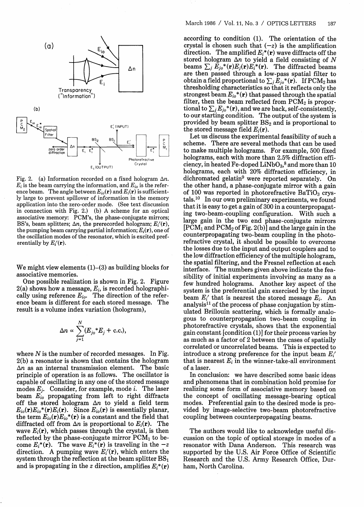

Fig. 2. (a) Information recorded on a fixed hologram  $\Delta n$ .  $E_i$  is the beam carrying the information, and  $E_{i0}$  is the reference beam. The angle between  $E_{i_0}(\mathbf{r})$  and  $E_i(\mathbf{r})$  is sufficiently large to prevent spillover of information in the memory application into the zero-order mode. (See text discussion in connection with Fig. 2.) (b) A scheme for an optical associative memory: PCM's, the phase-conjugate mirrors; BS's, beam splitters;  $\Delta n$ , the prerecorded hologram;  $E_i(\mathbf{r})$ , the pumping beam carrying partial information; *Ei(r),* one of the oscillation modes of the resonator, which is excited preferentially by *Ei'(r).*

We might view elements  $(1)$ – $(3)$  as building blocks for associative memories.

One possible realization is shown in Fig. 2. Figure 2(a) shows how a message, *Ei,* is recorded holographically using reference  $E_{io}$ . The direction of the reference beam is different for each stored message. The result is a volume index variation (hologram),

$$
\Delta n \propto \sum_{j=1}^{N} (E_{jo} * E_j + \text{c.c.}),
$$

where *N* is the number of recorded messages. In Fig. 2(b) a resonator is shown that contains the hologram  $\Delta n$  as an internal transmission element. The basic principle of operation is as follows. The oscillator is capable of oscillating in any one of the stored message modes  $E_j$ . Consider, for example, mode i. The laser beam *Eio* propagating from left to right diffracts off the stored hologram  $\Delta n$  to yield a field term  $E_{io}(\mathbf{r})E_{io}(\mathbf{r})E_i(\mathbf{r})$ . Since  $E_{io}(\mathbf{r})$  is essentially planar, the term  $E_{io}(\mathbf{r})E_{io}(\mathbf{r})$  is a constant and the field that diffracted off from  $\Delta n$  is proportional to  $E_i(\mathbf{r})$ . The wave  $E_i(\mathbf{r})$ , which passes through the crystal, is then reflected by the phase-conjugate mirror  $PCM<sub>1</sub>$  to become  $E_i^*(\mathbf{r})$ . The wave  $E_i^*(\mathbf{r})$  is traveling in the  $-z$ direction. A pumping wave *Ei'(r),* which enters the system through the reflection at the beam splitter  $BS_1$ and is propagating in the z direction, amplifies  $E_i^*(\mathbf{r})$ 

thresholding characteristics so that it reflect<br>strongest beam  $E_{io}^*(\mathbf{r})$  that passed through t<br>filter, then the beam reflected from  $\text{PCM}_2$ <br>tional to  $\sum_j E_{jo}^*(\mathbf{r})$ , and we are back, self-con<br>to our starting con according to condition (1). The orientation of the crystal is chosen such that  $(-z)$  is the amplification direction. The amplified *Ei\** **(r)** wave diffracts off the stored hologram  $\Delta n$  to yield a field consisting of N beams  $\sum_j \vec{E}_{j0}^* (\mathbf{r}) E_j(\mathbf{r}) E_i^* (\mathbf{r})$ . The diffracted beams are then passed through a low-pass spatial filter to obtain a field proportional to  $\sum_j \tilde{E}_{jo}$   $^*$  (**r**). If  $\text{PCM}_2$  has thresholding characteristics so that it reflects only the strongest beam  $E_{io}$ <sup>\*</sup>(**r**) that passed through the spatial filter, then the beam reflected from  $PCM<sub>2</sub>$  is propor- $\text{tional to } \sum_j E_{jo}^*(\mathbf{r}), \text{and we are back, self-consistently,}$ to our starting condition. The output of the system is provided by beam splitter  $BS_2$  and is proportional to the stored message field  $E_i(\mathbf{r})$ .

Let us discuss the experimental feasibility of such a scheme. There are several methods that can be used to make multiple holograms. For example, 500 fixed holograms, each with more than 2.5% diffraction efficiency, in heated Fe-doped  $\mathrm{LiNbO_{3}}^{3}$  and more than 10 holograms, each with 20% diffraction efficiency, in dichromated gelatin9 were reported separately. On the other hand, a phase-conjugate mirror with a gain of 100 was reported in photorefractive BaTiO<sub>3</sub> crystals.10 In our own preliminary experiments, we found that it is easy to get a gain of 300 in a counterpropagating two-beam-coupling configuration. With such a large gain in the two end phase-conjugate mirrors  $[PCM<sub>1</sub>$  and  $PCM<sub>2</sub>$  of Fig. 2(b)] and the large gain in the counterpropagating two-beam coupling in the photorefractive crystal, it should be possible to overcome the losses due to the input and output couplers and to the low diffraction efficiency of the multiple hologram, the spatial filtering, and the Fresnel reflection at each interface. The numbers given above indicate the feasibility of initial experiments involving as many as a few hundred holograms. Another key aspect of the system is the preferential gain exercised by the input beam *Ei'* that is nearest the stored message *Ei.* An analysis<sup>11</sup> of the process of phase conjugation by stimulated Brillouin scattering, which is formally analogous to counterpropagation two-beam coupling in photorefractive crystals, shows that the exponential gain constant [condition (1)] for their process varies by as much as a factor of 2 between the cases of spatially correlated or uncorrelated beams. This is expected to introduce a strong preference for the input beam *Ei'* that is nearest  $E_i$  in the winner-take-all environment of a laser.

In conclusion: we have described some basic ideas and phenomena that in combination hold promise for realizing some form of associative memory based on the concept of oscillating message-bearing optical modes. Preferential gain to the desired mode is provided by image-selective two-beam photorefractive coupling between counterpropagating beams.

The authors would like to acknowledge useful discussion on the topic of optical storage in modes of a resonator with Dana Anderson. This research was supported by the U.S. Air Force Office of Scientific Research and the U.S. Army Research Office, Durham, North Carolina.